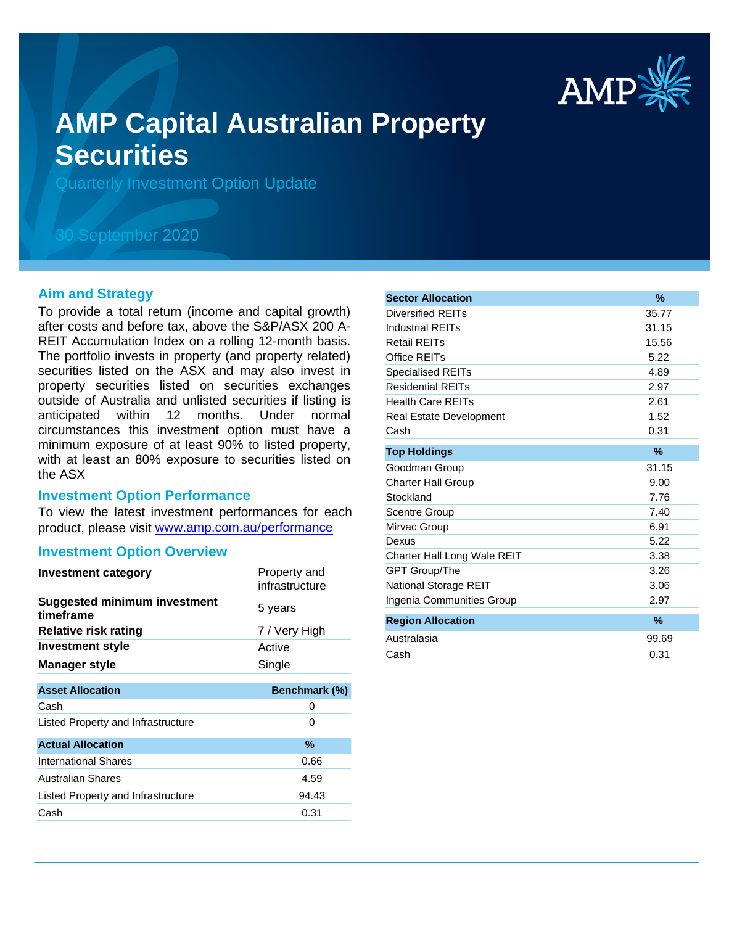

# **AMP Capital Australian Property Securities**

Quarterly Investment Option Update

## 30 September 2020

#### **Aim and Strategy**

To provide a total return (income and capital growth) after costs and before tax, above the S&P/ASX 200 A-REIT Accumulation Index on a rolling 12-month basis. The portfolio invests in property (and property related) securities listed on the ASX and may also invest in property securities listed on securities exchanges outside of Australia and unlisted securities if listing is anticipated within 12 months. Under normal circumstances this investment option must have a minimum exposure of at least 90% to listed property, with at least an 80% exposure to securities listed on the ASX

#### **Investment Option Performance**

To view the latest investment performances for each product, please visit www.amp.com.au/performance

#### **Investment Option Overview**

| Investment category                              | Property and<br>infrastructure |
|--------------------------------------------------|--------------------------------|
| <b>Suggested minimum investment</b><br>timeframe | 5 years                        |
| <b>Relative risk rating</b>                      | 7 / Very High                  |
| <b>Investment style</b>                          | Active                         |
| <b>Manager style</b>                             | Single                         |
|                                                  |                                |
| <b>Asset Allocation</b>                          | Benchmark (%)                  |
| Cash                                             | 0                              |
| Listed Property and Infrastructure               | 0                              |
| <b>Actual Allocation</b>                         | $\%$                           |
| <b>International Shares</b>                      | 0.66                           |
| <b>Australian Shares</b>                         | 4.59                           |
| Listed Property and Infrastructure               | 94.43                          |
| Cash                                             | 0.31                           |

| <b>Sector Allocation</b>       | %             |
|--------------------------------|---------------|
| Diversified REITs              | 35.77         |
| <b>Industrial REITs</b>        | 31.15         |
| <b>Retail REITs</b>            | 15.56         |
| Office REITs                   | 5.22          |
| <b>Specialised REITs</b>       | 4.89          |
| <b>Residential REITs</b>       | 2.97          |
| <b>Health Care REITs</b>       | 2.61          |
| <b>Real Estate Development</b> | 1.52          |
| Cash                           | 0.31          |
| <b>Top Holdings</b>            | $\%$          |
| Goodman Group                  | 31.15         |
| <b>Charter Hall Group</b>      | 9.00          |
| Stockland                      | 7.76          |
| Scentre Group                  | 7.40          |
| Mirvac Group                   | 6.91          |
| Dexus                          | 5.22          |
| Charter Hall Long Wale REIT    | 3.38          |
| <b>GPT Group/The</b>           | 3.26          |
| National Storage REIT          | 3.06          |
| Ingenia Communities Group      | 2.97          |
| <b>Region Allocation</b>       | $\frac{9}{6}$ |
| Australasia                    | 99.69         |
| Cash                           | 0.31          |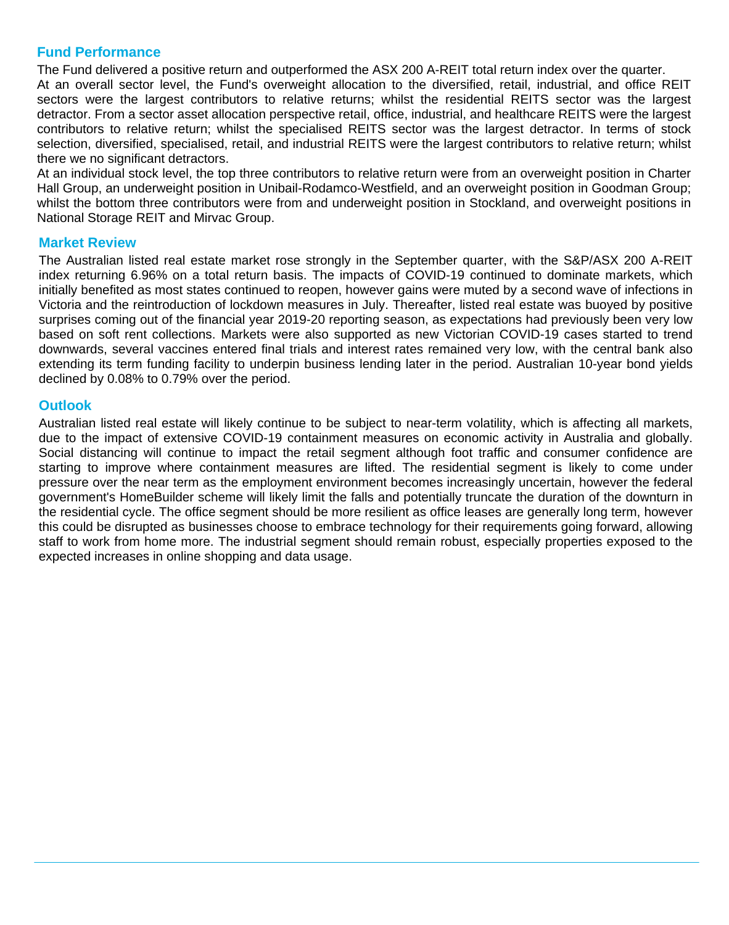### **Fund Performance**

The Fund delivered a positive return and outperformed the ASX 200 A-REIT total return index over the quarter.

At an overall sector level, the Fund's overweight allocation to the diversified, retail, industrial, and office REIT sectors were the largest contributors to relative returns; whilst the residential REITS sector was the largest detractor. From a sector asset allocation perspective retail, office, industrial, and healthcare REITS were the largest contributors to relative return; whilst the specialised REITS sector was the largest detractor. In terms of stock selection, diversified, specialised, retail, and industrial REITS were the largest contributors to relative return; whilst there we no significant detractors.

At an individual stock level, the top three contributors to relative return were from an overweight position in Charter Hall Group, an underweight position in Unibail-Rodamco-Westfield, and an overweight position in Goodman Group; whilst the bottom three contributors were from and underweight position in Stockland, and overweight positions in National Storage REIT and Mirvac Group.

#### **Market Review**

The Australian listed real estate market rose strongly in the September quarter, with the S&P/ASX 200 A-REIT index returning 6.96% on a total return basis. The impacts of COVID-19 continued to dominate markets, which initially benefited as most states continued to reopen, however gains were muted by a second wave of infections in Victoria and the reintroduction of lockdown measures in July. Thereafter, listed real estate was buoyed by positive surprises coming out of the financial year 2019-20 reporting season, as expectations had previously been very low based on soft rent collections. Markets were also supported as new Victorian COVID-19 cases started to trend downwards, several vaccines entered final trials and interest rates remained very low, with the central bank also extending its term funding facility to underpin business lending later in the period. Australian 10-year bond yields declined by 0.08% to 0.79% over the period.

#### **Outlook**

Australian listed real estate will likely continue to be subject to near-term volatility, which is affecting all markets, due to the impact of extensive COVID-19 containment measures on economic activity in Australia and globally. Social distancing will continue to impact the retail segment although foot traffic and consumer confidence are starting to improve where containment measures are lifted. The residential segment is likely to come under pressure over the near term as the employment environment becomes increasingly uncertain, however the federal government's HomeBuilder scheme will likely limit the falls and potentially truncate the duration of the downturn in the residential cycle. The office segment should be more resilient as office leases are generally long term, however this could be disrupted as businesses choose to embrace technology for their requirements going forward, allowing staff to work from home more. The industrial segment should remain robust, especially properties exposed to the expected increases in online shopping and data usage.